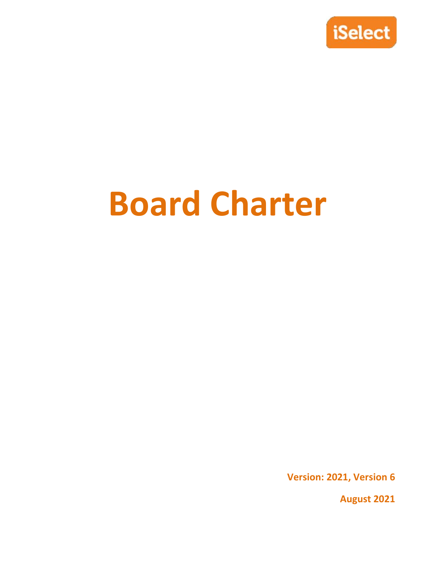

# **Board Charter**

**Version: 2021, Version 6**

**August 2021**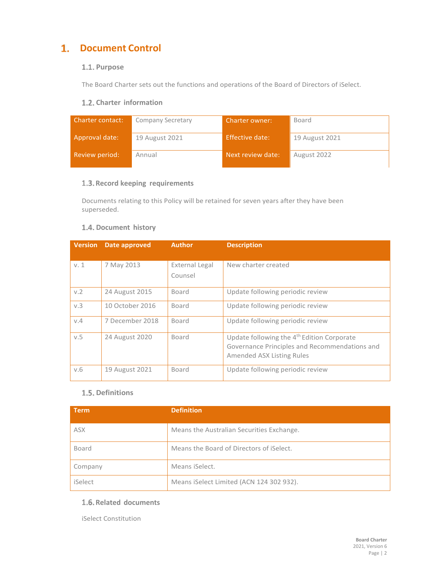# **Document Control**

# 1.1. Purpose

The Board Charter sets out the functions and operations of the Board of Directors of iSelect.

# **Charter information**

| <b>Charter contact:</b> | Company Secretary | Charter owner:         | Board          |
|-------------------------|-------------------|------------------------|----------------|
| Approval date:          | 19 August 2021    | <b>Effective date:</b> | 19 August 2021 |
| Review period:          | Annual            | Next review date:      | August 2022    |

#### **Record keeping requirements**

Documents relating to this Policy will be retained for seven years after they have been superseded.

#### 1.4. Document history

| <b>Version</b> | Date approved   | <b>Author</b>                    | <b>Description</b>                                                                                                                   |
|----------------|-----------------|----------------------------------|--------------------------------------------------------------------------------------------------------------------------------------|
| v.1            | 7 May 2013      | <b>External Legal</b><br>Counsel | New charter created                                                                                                                  |
| V.2            | 24 August 2015  | Board                            | Update following periodic review                                                                                                     |
| V.3            | 10 October 2016 | Board                            | Update following periodic review                                                                                                     |
| V.4            | 7 December 2018 | Board                            | Update following periodic review                                                                                                     |
| v.5            | 24 August 2020  | Board                            | Update following the 4 <sup>th</sup> Edition Corporate<br>Governance Principles and Recommendations and<br>Amended ASX Listing Rules |
| V.6            | 19 August 2021  | Board                            | Update following periodic review                                                                                                     |

# **1.5. Definitions**

| <b>Term</b> | <b>Definition</b>                         |
|-------------|-------------------------------------------|
| <b>ASX</b>  | Means the Australian Securities Exchange. |
| Board       | Means the Board of Directors of iSelect.  |
| Company     | Means iSelect.                            |
| iSelect     | Means iSelect Limited (ACN 124 302 932).  |

#### **Related documents**

iSelect Constitution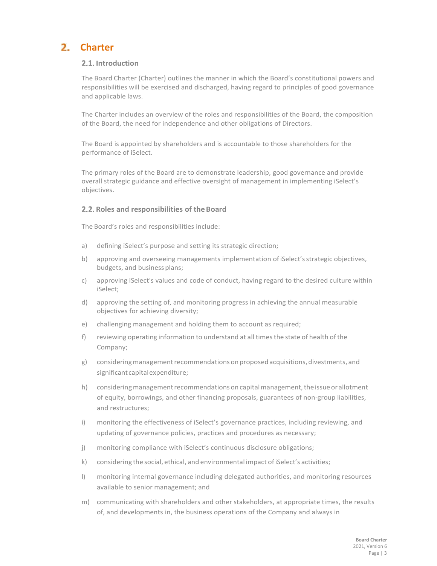# **Charter**

# **2.1.** Introduction

The Board Charter (Charter) outlines the manner in which the Board's constitutional powers and responsibilities will be exercised and discharged, having regard to principles of good governance and applicable laws.

The Charter includes an overview of the roles and responsibilities of the Board, the composition of the Board, the need for independence and other obligations of Directors.

The Board is appointed by shareholders and is accountable to those shareholders for the performance of iSelect.

The primary roles of the Board are to demonstrate leadership, good governance and provide overall strategic guidance and effective oversight of management in implementing iSelect's objectives.

# **Roles and responsibilities of theBoard**

The Board's roles and responsibilities include:

- a) defining iSelect's purpose and setting its strategic direction;
- b) approving and overseeing managements implementation of iSelect's strategic objectives, budgets, and business plans;
- c) approving iSelect's values and code of conduct, having regard to the desired culture within iSelect;
- d) approving the setting of, and monitoring progress in achieving the annual measurable objectives for achieving diversity;
- e) challenging management and holding them to account as required;
- f) reviewing operating information to understand at all times the state of health of the Company;
- g) considering management recommendations on proposed acquisitions, divestments, and significantcapitalexpenditure;
- h) considering management recommendations on capital management, the issue or allotment of equity, borrowings, and other financing proposals, guarantees of non-group liabilities, and restructures;
- i) monitoring the effectiveness of iSelect's governance practices, including reviewing, and updating of governance policies, practices and procedures as necessary;
- j) monitoring compliance with iSelect's continuous disclosure obligations;
- k) considering the social, ethical, and environmental impact ofiSelect's activities;
- l) monitoring internal governance including delegated authorities, and monitoring resources available to senior management; and
- m) communicating with shareholders and other stakeholders, at appropriate times, the results of, and developments in, the business operations of the Company and always in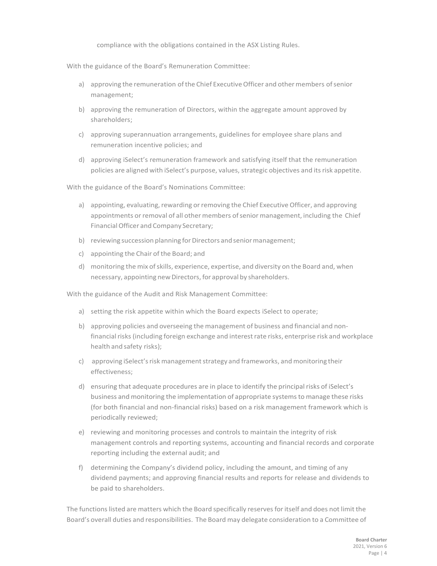compliance with the obligations contained in the ASX Listing Rules.

With the guidance of the Board's Remuneration Committee:

- a) approving the remuneration of the Chief Executive Officer and other members of senior management;
- b) approving the remuneration of Directors, within the aggregate amount approved by shareholders;
- c) approving superannuation arrangements, guidelines for employee share plans and remuneration incentive policies; and
- d) approving iSelect's remuneration framework and satisfying itself that the remuneration policies are aligned with iSelect's purpose, values, strategic objectives and itsrisk appetite.

With the guidance of the Board's Nominations Committee:

- a) appointing, evaluating, rewarding or removing the Chief Executive Officer, and approving appointments or removal of all other members of senior management, including the Chief FinancialOfficer and Company Secretary;
- b) reviewing succession planning for Directors and senior management;
- c) appointing the Chair of the Board; and
- d) monitoring the mix ofskills, experience, expertise, and diversity on the Board and, when necessary, appointing new Directors, for approval by shareholders.

With the guidance of the Audit and Risk Management Committee:

- a) setting the risk appetite within which the Board expects iSelect to operate;
- b) approving policies and overseeing the management of business and financial and nonfinancial risks (including foreign exchange and interest rate risks, enterprise risk and workplace health and safety risks);
- c) approving iSelect's risk management strategy and frameworks, and monitoring their effectiveness;
- d) ensuring that adequate procedures are in place to identify the principal risks of iSelect's business and monitoring the implementation of appropriate systemsto manage these risks (for both financial and non-financial risks) based on a risk management framework which is periodically reviewed;
- e) reviewing and monitoring processes and controls to maintain the integrity of risk management controls and reporting systems, accounting and financial records and corporate reporting including the external audit; and
- f) determining the Company's dividend policy, including the amount, and timing of any dividend payments; and approving financial results and reports for release and dividends to be paid to shareholders.

The functions listed are matters which the Board specifically reserves for itself and does not limit the Board's overall duties and responsibilities. The Board may delegate consideration to a Committee of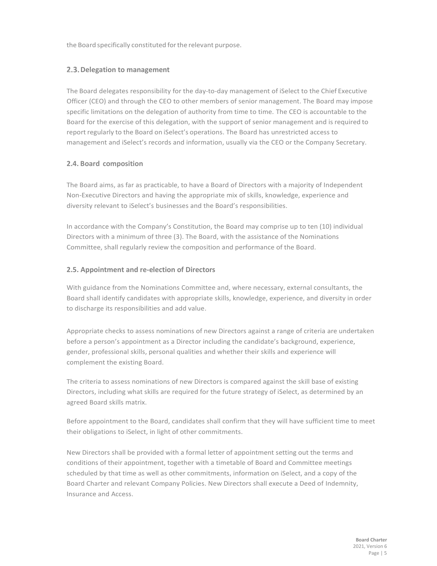the Board specifically constituted forthe relevant purpose.

#### **Delegation to management**

The Board delegates responsibility for the day-to-day management of iSelect to the Chief Executive Officer (CEO) and through the CEO to other members of senior management. The Board may impose specific limitations on the delegation of authority from time to time. The CEO is accountable to the Board for the exercise of this delegation, with the support of senior management and is required to report regularly to the Board on iSelect's operations. The Board has unrestricted access to management and iSelect's records and information, usually via the CEO or the Company Secretary.

#### **2.4. Board composition**

The Board aims, as far as practicable, to have a Board of Directors with a majority of Independent Non-Executive Directors and having the appropriate mix of skills, knowledge, experience and diversity relevant to iSelect's businesses and the Board's responsibilities.

In accordance with the Company's Constitution, the Board may comprise up to ten (10) individual Directors with a minimum of three (3). The Board, with the assistance of the Nominations Committee, shall regularly review the composition and performance of the Board.

#### **2.5. Appointment and re-election of Directors**

With guidance from the Nominations Committee and, where necessary, external consultants, the Board shall identify candidates with appropriate skills, knowledge, experience, and diversity in order to discharge its responsibilities and add value.

Appropriate checks to assess nominations of new Directors against a range of criteria are undertaken before a person's appointment as a Director including the candidate's background, experience, gender, professional skills, personal qualities and whether their skills and experience will complement the existing Board.

The criteria to assess nominations of new Directors is compared against the skill base of existing Directors, including what skills are required for the future strategy of iSelect, as determined by an agreed Board skills matrix.

Before appointment to the Board, candidates shall confirm that they will have sufficient time to meet their obligations to iSelect, in light of other commitments.

New Directors shall be provided with a formal letter of appointment setting out the terms and conditions of their appointment, together with a timetable of Board and Committee meetings scheduled by that time as well as other commitments, information on iSelect, and a copy of the Board Charter and relevant Company Policies. New Directors shall execute a Deed of Indemnity, Insurance and Access.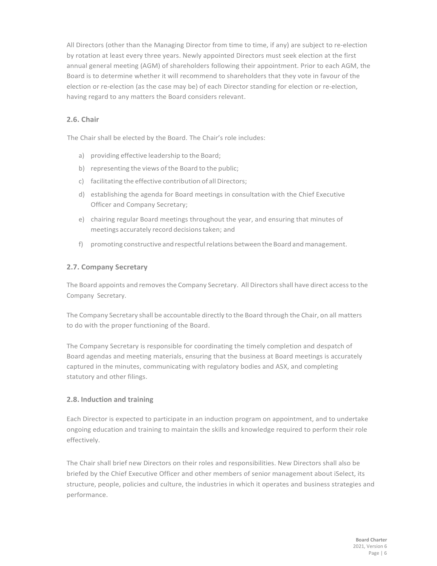All Directors (other than the Managing Director from time to time, if any) are subject to re-election by rotation at least every three years. Newly appointed Directors must seek election at the first annual general meeting (AGM) of shareholders following their appointment. Prior to each AGM, the Board is to determine whether it will recommend to shareholders that they vote in favour of the election or re-election (as the case may be) of each Director standing for election or re-election, having regard to any matters the Board considers relevant.

# **2.6. Chair**

The Chair shall be elected by the Board. The Chair's role includes:

- a) providing effective leadership to the Board;
- b) representing the views of the Board to the public;
- c) facilitating the effective contribution of all Directors;
- d) establishing the agenda for Board meetings in consultation with the Chief Executive Officer and Company Secretary;
- e) chairing regular Board meetings throughout the year, and ensuring that minutes of meetings accurately record decisionstaken; and
- f) promoting constructive and respectful relations between the Board and management.

# **2.7. Company Secretary**

The Board appoints and removes the Company Secretary. All Directors shall have direct access to the Company Secretary.

The Company Secretary shall be accountable directly to the Board through the Chair, on all matters to do with the proper functioning of the Board.

The Company Secretary is responsible for coordinating the timely completion and despatch of Board agendas and meeting materials, ensuring that the business at Board meetings is accurately captured in the minutes, communicating with regulatory bodies and ASX, and completing statutory and other filings.

#### **2.8. Induction and training**

Each Director is expected to participate in an induction program on appointment, and to undertake ongoing education and training to maintain the skills and knowledge required to perform their role effectively.

The Chair shall brief new Directors on their roles and responsibilities. New Directors shall also be briefed by the Chief Executive Officer and other members of senior management about iSelect, its structure, people, policies and culture, the industries in which it operates and business strategies and performance.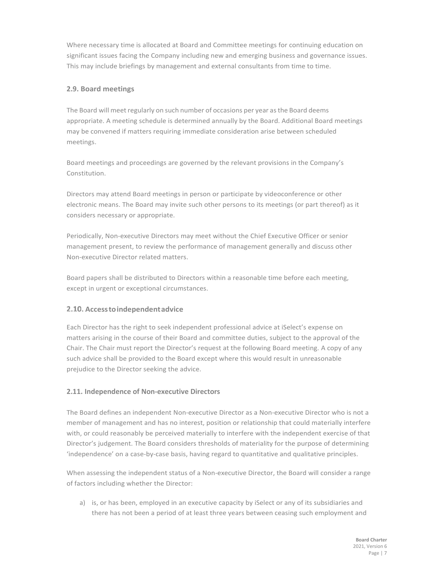Where necessary time is allocated at Board and Committee meetings for continuing education on significant issues facing the Company including new and emerging business and governance issues. This may include briefings by management and external consultants from time to time.

# **2.9. Board meetings**

The Board will meet regularly on such number of occasions per year as the Board deems appropriate. A meeting schedule is determined annually by the Board. Additional Board meetings may be convened if matters requiring immediate consideration arise between scheduled meetings.

Board meetings and proceedings are governed by the relevant provisions in the Company's Constitution.

Directors may attend Board meetings in person or participate by videoconference or other electronic means. The Board may invite such other persons to its meetings (or part thereof) as it considers necessary or appropriate.

Periodically, Non-executive Directors may meet without the Chief Executive Officer or senior management present, to review the performance of management generally and discuss other Non-executive Director related matters.

Board papers shall be distributed to Directors within a reasonable time before each meeting, except in urgent or exceptional circumstances.

# **Accesstoindependentadvice**

Each Director has the right to seek independent professional advice at iSelect's expense on matters arising in the course of their Board and committee duties, subject to the approval of the Chair. The Chair must report the Director's request at the following Board meeting. A copy of any such advice shall be provided to the Board except where this would result in unreasonable prejudice to the Director seeking the advice.

#### **2.11. Independence of Non-executive Directors**

The Board defines an independent Non-executive Director as a Non-executive Director who is not a member of management and has no interest, position or relationship that could materially interfere with, or could reasonably be perceived materially to interfere with the independent exercise of that Director's judgement. The Board considers thresholds of materiality for the purpose of determining 'independence' on a case-by-case basis, having regard to quantitative and qualitative principles.

When assessing the independent status of a Non-executive Director, the Board will consider a range of factors including whether the Director:

a) is, or has been, employed in an executive capacity by iSelect or any of its subsidiaries and there has not been a period of at least three years between ceasing such employment and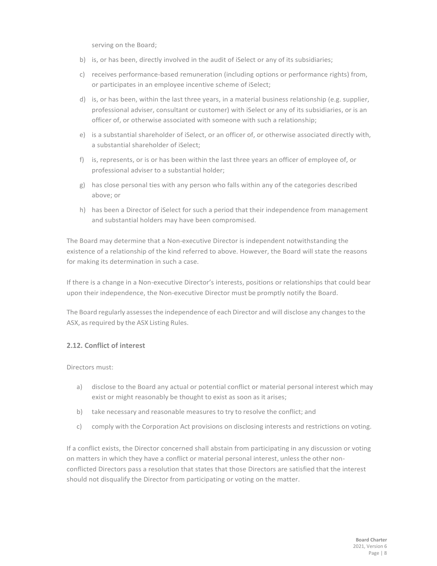serving on the Board;

- b) is, or has been, directly involved in the audit of iSelect or any of its subsidiaries;
- c) receives performance-based remuneration (including options or performance rights) from, or participates in an employee incentive scheme of iSelect;
- d) is, or has been, within the last three years, in a material business relationship (e.g. supplier, professional adviser, consultant or customer) with iSelect or any of its subsidiaries, or is an officer of, or otherwise associated with someone with such a relationship;
- e) is a substantial shareholder of iSelect, or an officer of, or otherwise associated directly with, a substantial shareholder of iSelect;
- f) is, represents, or is or has been within the last three years an officer of employee of, or professional adviser to a substantial holder;
- g) has close personal ties with any person who falls within any of the categories described above; or
- h) has been a Director of iSelect for such a period that their independence from management and substantial holders may have been compromised.

The Board may determine that a Non-executive Director is independent notwithstanding the existence of a relationship of the kind referred to above. However, the Board will state the reasons for making its determination in such a case.

If there is a change in a Non-executive Director's interests, positions or relationships that could bear upon their independence, the Non-executive Director must be promptly notify the Board.

The Board regularly assesses the independence of each Director and will disclose any changes to the ASX, as required by the ASX Listing Rules.

#### **2.12. Conflict of interest**

Directors must:

- a) disclose to the Board any actual or potential conflict or material personal interest which may exist or might reasonably be thought to exist as soon as it arises;
- b) take necessary and reasonable measures to try to resolve the conflict; and
- c) comply with the Corporation Act provisions on disclosing interests and restrictions on voting.

If a conflict exists, the Director concerned shall abstain from participating in any discussion or voting on matters in which they have a conflict or material personal interest, unless the other nonconflicted Directors pass a resolution that states that those Directors are satisfied that the interest should not disqualify the Director from participating or voting on the matter.